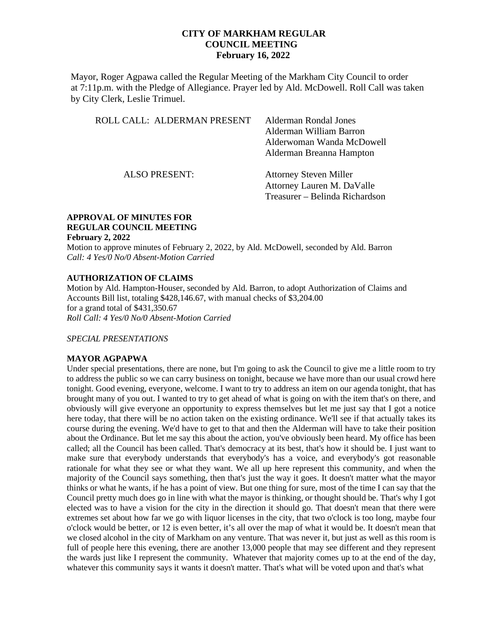Mayor, Roger Agpawa called the Regular Meeting of the Markham City Council to order at 7:11p.m. with the Pledge of Allegiance. Prayer led by Ald. McDowell. Roll Call was taken by City Clerk, Leslie Trimuel.

| ROLL CALL: ALDERMAN PRESENT | <b>Alderman Rondal Jones</b><br>Alderman William Barron<br>Alderwoman Wanda McDowell<br>Alderman Breanna Hampton |
|-----------------------------|------------------------------------------------------------------------------------------------------------------|
| <b>ALSO PRESENT:</b>        | <b>Attorney Steven Miller</b><br>Attorney Lauren M. DaValle<br>Treasurer – Belinda Richardson                    |

#### **APPROVAL OF MINUTES FOR REGULAR COUNCIL MEETING February 2, 2022**

Motion to approve minutes of February 2, 2022, by Ald. McDowell, seconded by Ald. Barron *Call: 4 Yes/0 No/0 Absent-Motion Carried*

### **AUTHORIZATION OF CLAIMS**

Motion by Ald. Hampton-Houser, seconded by Ald. Barron, to adopt Authorization of Claims and Accounts Bill list, totaling \$428,146.67, with manual checks of \$3,204.00 for a grand total of \$431,350.67 *Roll Call: 4 Yes/0 No/0 Absent-Motion Carried* 

### *SPECIAL PRESENTATIONS*

## **MAYOR AGPAPWA**

Under special presentations, there are none, but I'm going to ask the Council to give me a little room to try to address the public so we can carry business on tonight, because we have more than our usual crowd here tonight. Good evening, everyone, welcome. I want to try to address an item on our agenda tonight, that has brought many of you out. I wanted to try to get ahead of what is going on with the item that's on there, and obviously will give everyone an opportunity to express themselves but let me just say that I got a notice here today, that there will be no action taken on the existing ordinance. We'll see if that actually takes its course during the evening. We'd have to get to that and then the Alderman will have to take their position about the Ordinance. But let me say this about the action, you've obviously been heard. My office has been called; all the Council has been called. That's democracy at its best, that's how it should be. I just want to make sure that everybody understands that everybody's has a voice, and everybody's got reasonable rationale for what they see or what they want. We all up here represent this community, and when the majority of the Council says something, then that's just the way it goes. It doesn't matter what the mayor thinks or what he wants, if he has a point of view. But one thing for sure, most of the time I can say that the Council pretty much does go in line with what the mayor is thinking, or thought should be. That's why I got elected was to have a vision for the city in the direction it should go. That doesn't mean that there were extremes set about how far we go with liquor licenses in the city, that two o'clock is too long, maybe four o'clock would be better, or 12 is even better, it's all over the map of what it would be. It doesn't mean that we closed alcohol in the city of Markham on any venture. That was never it, but just as well as this room is full of people here this evening, there are another 13,000 people that may see different and they represent the wards just like I represent the community. Whatever that majority comes up to at the end of the day, whatever this community says it wants it doesn't matter. That's what will be voted upon and that's what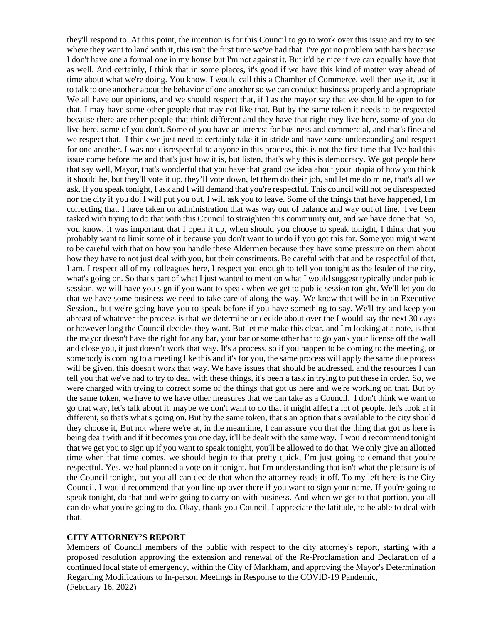they'll respond to. At this point, the intention is for this Council to go to work over this issue and try to see where they want to land with it, this isn't the first time we've had that. I've got no problem with bars because I don't have one a formal one in my house but I'm not against it. But it'd be nice if we can equally have that as well. And certainly, I think that in some places, it's good if we have this kind of matter way ahead of time about what we're doing. You know, I would call this a Chamber of Commerce, well then use it, use it to talk to one another about the behavior of one another so we can conduct business properly and appropriate We all have our opinions, and we should respect that, if I as the mayor say that we should be open to for that, I may have some other people that may not like that. But by the same token it needs to be respected because there are other people that think different and they have that right they live here, some of you do live here, some of you don't. Some of you have an interest for business and commercial, and that's fine and we respect that. I think we just need to certainly take it in stride and have some understanding and respect for one another. I was not disrespectful to anyone in this process, this is not the first time that I've had this issue come before me and that's just how it is, but listen, that's why this is democracy. We got people here that say well, Mayor, that's wonderful that you have that grandiose idea about your utopia of how you think it should be, but they'll vote it up, they'll vote down, let them do their job, and let me do mine, that's all we ask. If you speak tonight, I ask and I will demand that you're respectful. This council will not be disrespected nor the city if you do, I will put you out, I will ask you to leave. Some of the things that have happened, I'm correcting that. I have taken on administration that was way out of balance and way out of line. I've been tasked with trying to do that with this Council to straighten this community out, and we have done that. So, you know, it was important that I open it up, when should you choose to speak tonight, I think that you probably want to limit some of it because you don't want to undo if you got this far. Some you might want to be careful with that on how you handle these Aldermen because they have some pressure on them about how they have to not just deal with you, but their constituents. Be careful with that and be respectful of that, I am, I respect all of my colleagues here, I respect you enough to tell you tonight as the leader of the city, what's going on. So that's part of what I just wanted to mention what I would suggest typically under public session, we will have you sign if you want to speak when we get to public session tonight. We'll let you do that we have some business we need to take care of along the way. We know that will be in an Executive Session., but we're going have you to speak before if you have something to say. We'll try and keep you abreast of whatever the process is that we determine or decide about over the I would say the next 30 days or however long the Council decides they want. But let me make this clear, and I'm looking at a note, is that the mayor doesn't have the right for any bar, your bar or some other bar to go yank your license off the wall and close you, it just doesn't work that way. It's a process, so if you happen to be coming to the meeting, or somebody is coming to a meeting like this and it's for you, the same process will apply the same due process will be given, this doesn't work that way. We have issues that should be addressed, and the resources I can tell you that we've had to try to deal with these things, it's been a task in trying to put these in order. So, we were charged with trying to correct some of the things that got us here and we're working on that. But by the same token, we have to we have other measures that we can take as a Council. I don't think we want to go that way, let's talk about it, maybe we don't want to do that it might affect a lot of people, let's look at it different, so that's what's going on. But by the same token, that's an option that's available to the city should they choose it, But not where we're at, in the meantime, I can assure you that the thing that got us here is being dealt with and if it becomes you one day, it'll be dealt with the same way. I would recommend tonight that we get you to sign up if you want to speak tonight, you'll be allowed to do that. We only give an allotted time when that time comes, we should begin to that pretty quick, I'm just going to demand that you're respectful. Yes, we had planned a vote on it tonight, but I'm understanding that isn't what the pleasure is of the Council tonight, but you all can decide that when the attorney reads it off. To my left here is the City Council. I would recommend that you line up over there if you want to sign your name. If you're going to speak tonight, do that and we're going to carry on with business. And when we get to that portion, you all can do what you're going to do. Okay, thank you Council. I appreciate the latitude, to be able to deal with that.

#### **CITY ATTORNEY'S REPORT**

Members of Council members of the public with respect to the city attorney's report, starting with a proposed resolution approving the extension and renewal of the Re-Proclamation and Declaration of a continued local state of emergency, within the City of Markham, and approving the Mayor's Determination Regarding Modifications to In-person Meetings in Response to the COVID-19 Pandemic, (February 16, 2022)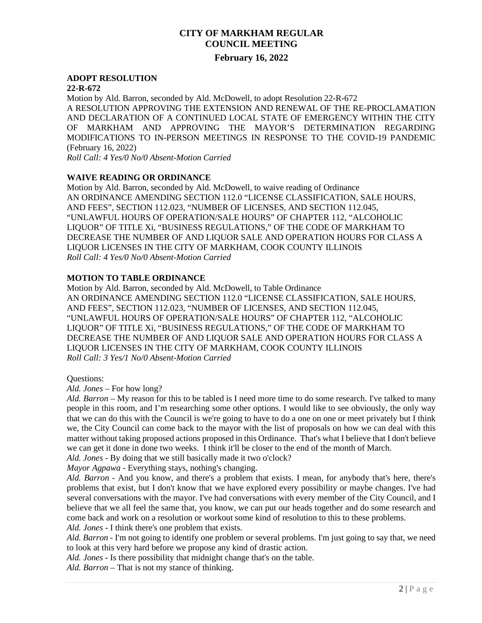### **ADOPT RESOLUTION**

### **22-R-672**

Motion by Ald. Barron, seconded by Ald. McDowell, to adopt Resolution 22-R-672 A RESOLUTION APPROVING THE EXTENSION AND RENEWAL OF THE RE-PROCLAMATION AND DECLARATION OF A CONTINUED LOCAL STATE OF EMERGENCY WITHIN THE CITY OF MARKHAM AND APPROVING THE MAYOR'S DETERMINATION REGARDING MODIFICATIONS TO IN-PERSON MEETINGS IN RESPONSE TO THE COVID-19 PANDEMIC (February 16, 2022)

*Roll Call: 4 Yes/0 No/0 Absent-Motion Carried* 

### **WAIVE READING OR ORDINANCE**

Motion by Ald. Barron, seconded by Ald. McDowell, to waive reading of Ordinance AN ORDINANCE AMENDING SECTION 112.0 "LICENSE CLASSIFICATION, SALE HOURS, AND FEES", SECTION 112.023, "NUMBER OF LICENSES, AND SECTION 112.045, "UNLAWFUL HOURS OF OPERATION/SALE HOURS" OF CHAPTER 112, "ALCOHOLIC LIQUOR" OF TITLE Xi, "BUSINESS REGULATIONS," OF THE CODE OF MARKHAM TO DECREASE THE NUMBER OF AND LIQUOR SALE AND OPERATION HOURS FOR CLASS A LIQUOR LICENSES IN THE CITY OF MARKHAM, COOK COUNTY ILLINOIS *Roll Call: 4 Yes/0 No/0 Absent-Motion Carried* 

### **MOTION TO TABLE ORDINANCE**

Motion by Ald. Barron, seconded by Ald. McDowell, to Table Ordinance AN ORDINANCE AMENDING SECTION 112.0 "LICENSE CLASSIFICATION, SALE HOURS, AND FEES", SECTION 112.023, "NUMBER OF LICENSES, AND SECTION 112.045, "UNLAWFUL HOURS OF OPERATION/SALE HOURS" OF CHAPTER 112, "ALCOHOLIC LIQUOR" OF TITLE Xi, "BUSINESS REGULATIONS," OF THE CODE OF MARKHAM TO DECREASE THE NUMBER OF AND LIQUOR SALE AND OPERATION HOURS FOR CLASS A LIQUOR LICENSES IN THE CITY OF MARKHAM, COOK COUNTY ILLINOIS *Roll Call: 3 Yes/1 No/0 Absent-Motion Carried* 

### Questions:

### *Ald. Jones* – For how long?

*Ald. Barron* – My reason for this to be tabled is I need more time to do some research. I've talked to many people in this room, and I'm researching some other options. I would like to see obviously, the only way that we can do this with the Council is we're going to have to do a one on one or meet privately but I think we, the City Council can come back to the mayor with the list of proposals on how we can deal with this matter without taking proposed actions proposed in this Ordinance. That's what I believe that I don't believe we can get it done in done two weeks. I think it'll be closer to the end of the month of March.

*Ald. Jones* - By doing that we still basically made it two o'clock?

*Mayor Agpawa* - Everything stays, nothing's changing.

*Ald. Barron* - And you know, and there's a problem that exists. I mean, for anybody that's here, there's problems that exist, but I don't know that we have explored every possibility or maybe changes. I've had several conversations with the mayor. I've had conversations with every member of the City Council, and I believe that we all feel the same that, you know, we can put our heads together and do some research and come back and work on a resolution or workout some kind of resolution to this to these problems. *Ald. Jones* - I think there's one problem that exists.

*Ald. Barron* - I'm not going to identify one problem or several problems. I'm just going to say that, we need to look at this very hard before we propose any kind of drastic action.

*Ald. Jones* - Is there possibility that midnight change that's on the table.

*Ald. Barron* – That is not my stance of thinking.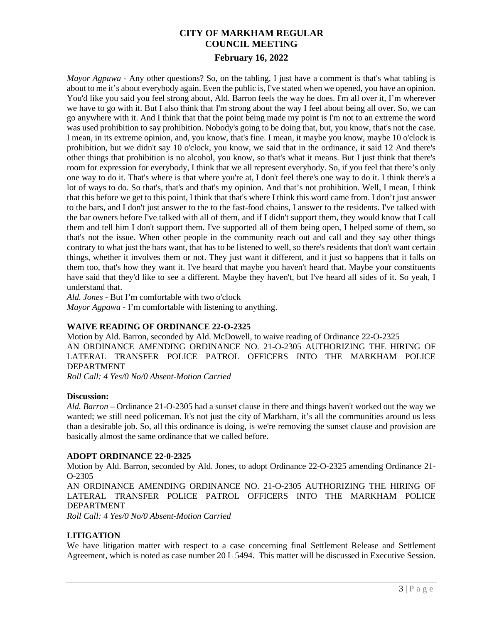*Mayor Agpawa* - Any other questions? So, on the tabling, I just have a comment is that's what tabling is about to me it's about everybody again. Even the public is, I've stated when we opened, you have an opinion. You'd like you said you feel strong about, Ald. Barron feels the way he does. I'm all over it, I'm wherever we have to go with it. But I also think that I'm strong about the way I feel about being all over. So, we can go anywhere with it. And I think that that the point being made my point is I'm not to an extreme the word was used prohibition to say prohibition. Nobody's going to be doing that, but, you know, that's not the case. I mean, in its extreme opinion, and, you know, that's fine. I mean, it maybe you know, maybe 10 o'clock is prohibition, but we didn't say 10 o'clock, you know, we said that in the ordinance, it said 12 And there's other things that prohibition is no alcohol, you know, so that's what it means. But I just think that there's room for expression for everybody, I think that we all represent everybody. So, if you feel that there's only one way to do it. That's where is that where you're at, I don't feel there's one way to do it. I think there's a lot of ways to do. So that's, that's and that's my opinion. And that's not prohibition. Well, I mean, I think that this before we get to this point, I think that that's where I think this word came from. I don't just answer to the bars, and I don't just answer to the to the fast-food chains, I answer to the residents. I've talked with the bar owners before I've talked with all of them, and if I didn't support them, they would know that I call them and tell him I don't support them. I've supported all of them being open, I helped some of them, so that's not the issue. When other people in the community reach out and call and they say other things contrary to what just the bars want, that has to be listened to well, so there's residents that don't want certain things, whether it involves them or not. They just want it different, and it just so happens that it falls on them too, that's how they want it. I've heard that maybe you haven't heard that. Maybe your constituents have said that they'd like to see a different. Maybe they haven't, but I've heard all sides of it. So yeah, I understand that.

*Ald. Jones* - But I'm comfortable with two o'clock *Mayor Agpawa* - I'm comfortable with listening to anything.

## **WAIVE READING OF ORDINANCE 22-O-2325**

Motion by Ald. Barron, seconded by Ald. McDowell, to waive reading of Ordinance 22-O-2325 AN ORDINANCE AMENDING ORDINANCE NO. 21-O-2305 AUTHORIZING THE HIRING OF LATERAL TRANSFER POLICE PATROL OFFICERS INTO THE MARKHAM POLICE DEPARTMENT

*Roll Call: 4 Yes/0 No/0 Absent-Motion Carried* 

### **Discussion:**

*Ald. Barron* – Ordinance 21-O-2305 had a sunset clause in there and things haven't worked out the way we wanted; we still need policeman. It's not just the city of Markham, it's all the communities around us less than a desirable job. So, all this ordinance is doing, is we're removing the sunset clause and provision are basically almost the same ordinance that we called before.

### **ADOPT ORDINANCE 22-0-2325**

Motion by Ald. Barron, seconded by Ald. Jones, to adopt Ordinance 22-O-2325 amending Ordinance 21- O-2305

AN ORDINANCE AMENDING ORDINANCE NO. 21-O-2305 AUTHORIZING THE HIRING OF LATERAL TRANSFER POLICE PATROL OFFICERS INTO THE MARKHAM POLICE DEPARTMENT

*Roll Call: 4 Yes/0 No/0 Absent-Motion Carried*

### **LITIGATION**

We have litigation matter with respect to a case concerning final Settlement Release and Settlement Agreement, which is noted as case number 20 L 5494. This matter will be discussed in Executive Session.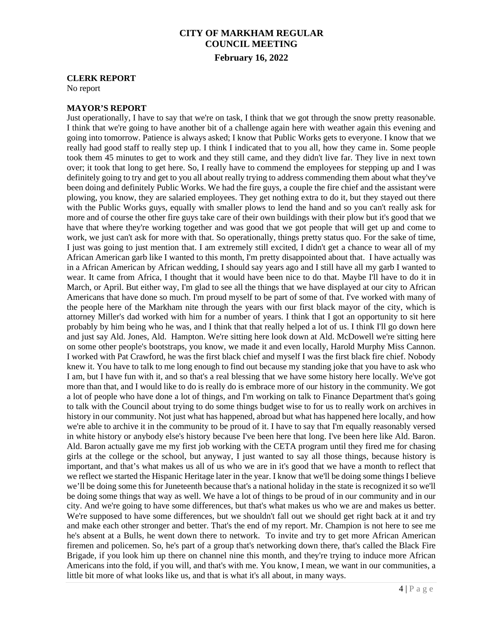**CLERK REPORT**

No report

#### **MAYOR'S REPORT**

Just operationally, I have to say that we're on task, I think that we got through the snow pretty reasonable. I think that we're going to have another bit of a challenge again here with weather again this evening and going into tomorrow. Patience is always asked; I know that Public Works gets to everyone. I know that we really had good staff to really step up. I think I indicated that to you all, how they came in. Some people took them 45 minutes to get to work and they still came, and they didn't live far. They live in next town over; it took that long to get here. So, I really have to commend the employees for stepping up and I was definitely going to try and get to you all about really trying to address commending them about what they've been doing and definitely Public Works. We had the fire guys, a couple the fire chief and the assistant were plowing, you know, they are salaried employees. They get nothing extra to do it, but they stayed out there with the Public Works guys, equally with smaller plows to lend the hand and so you can't really ask for more and of course the other fire guys take care of their own buildings with their plow but it's good that we have that where they're working together and was good that we got people that will get up and come to work, we just can't ask for more with that. So operationally, things pretty status quo. For the sake of time, I just was going to just mention that. I am extremely still excited, I didn't get a chance to wear all of my African American garb like I wanted to this month, I'm pretty disappointed about that. I have actually was in a African American by African wedding, I should say years ago and I still have all my garb I wanted to wear. It came from Africa, I thought that it would have been nice to do that. Maybe I'll have to do it in March, or April. But either way, I'm glad to see all the things that we have displayed at our city to African Americans that have done so much. I'm proud myself to be part of some of that. I've worked with many of the people here of the Markham nite through the years with our first black mayor of the city, which is attorney Miller's dad worked with him for a number of years. I think that I got an opportunity to sit here probably by him being who he was, and I think that that really helped a lot of us. I think I'll go down here and just say Ald. Jones, Ald. Hampton. We're sitting here look down at Ald. McDowell we're sitting here on some other people's bootstraps, you know, we made it and even locally, Harold Murphy Miss Cannon. I worked with Pat Crawford, he was the first black chief and myself I was the first black fire chief. Nobody knew it. You have to talk to me long enough to find out because my standing joke that you have to ask who I am, but I have fun with it, and so that's a real blessing that we have some history here locally. We've got more than that, and I would like to do is really do is embrace more of our history in the community. We got a lot of people who have done a lot of things, and I'm working on talk to Finance Department that's going to talk with the Council about trying to do some things budget wise to for us to really work on archives in history in our community. Not just what has happened, abroad but what has happened here locally, and how we're able to archive it in the community to be proud of it. I have to say that I'm equally reasonably versed in white history or anybody else's history because I've been here that long. I've been here like Ald. Baron. Ald. Baron actually gave me my first job working with the CETA program until they fired me for chasing girls at the college or the school, but anyway, I just wanted to say all those things, because history is important, and that's what makes us all of us who we are in it's good that we have a month to reflect that we reflect we started the Hispanic Heritage later in the year. I know that we'll be doing some things I believe we'll be doing some this for Juneteenth because that's a national holiday in the state is recognized it so we'll be doing some things that way as well. We have a lot of things to be proud of in our community and in our city. And we're going to have some differences, but that's what makes us who we are and makes us better. We're supposed to have some differences, but we shouldn't fall out we should get right back at it and try and make each other stronger and better. That's the end of my report. Mr. Champion is not here to see me he's absent at a Bulls, he went down there to network. To invite and try to get more African American firemen and policemen. So, he's part of a group that's networking down there, that's called the Black Fire Brigade, if you look him up there on channel nine this month, and they're trying to induce more African Americans into the fold, if you will, and that's with me. You know, I mean, we want in our communities, a little bit more of what looks like us, and that is what it's all about, in many ways.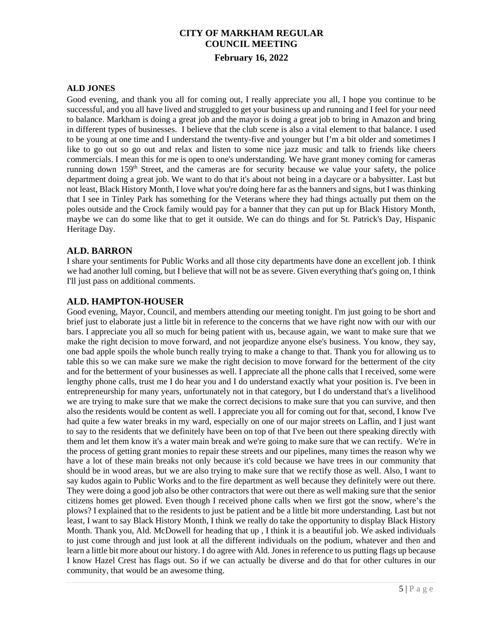### **ALD JONES**

Good evening, and thank you all for coming out, I really appreciate you all, I hope you continue to be successful, and you all have lived and struggled to get your business up and running and I feel for your need to balance. Markham is doing a great job and the mayor is doing a great job to bring in Amazon and bring in different types of businesses. I believe that the club scene is also a vital element to that balance. I used to be young at one time and I understand the twenty-five and younger but I'm a bit older and sometimes I like to go out so go out and relax and listen to some nice jazz music and talk to friends like cheers commercials. I mean this for me is open to one's understanding. We have grant money coming for cameras running down 159th Street, and the cameras are for security because we value your safety, the police department doing a great job. We want to do that it's about not being in a daycare or a babysitter. Last but not least, Black History Month, I love what you're doing here far as the banners and signs, but I was thinking that I see in Tinley Park has something for the Veterans where they had things actually put them on the poles outside and the Crock family would pay for a banner that they can put up for Black History Month, maybe we can do some like that to get it outside. We can do things and for St. Patrick's Day, Hispanic Heritage Day.

## **ALD. BARRON**

I share your sentiments for Public Works and all those city departments have done an excellent job. I think we had another lull coming, but I believe that will not be as severe. Given everything that's going on, I think I'll just pass on additional comments.

### **ALD. HAMPTON-HOUSER**

Good evening, Mayor, Council, and members attending our meeting tonight. I'm just going to be short and brief just to elaborate just a little bit in reference to the concerns that we have right now with our with our bars. I appreciate you all so much for being patient with us, because again, we want to make sure that we make the right decision to move forward, and not jeopardize anyone else's business. You know, they say, one bad apple spoils the whole bunch really trying to make a change to that. Thank you for allowing us to table this so we can make sure we make the right decision to move forward for the betterment of the city and for the betterment of your businesses as well. I appreciate all the phone calls that I received, some were lengthy phone calls, trust me I do hear you and I do understand exactly what your position is. I've been in entrepreneurship for many years, unfortunately not in that category, but I do understand that's a livelihood we are trying to make sure that we make the correct decisions to make sure that you can survive, and then also the residents would be content as well. I appreciate you all for coming out for that, second, I know I've had quite a few water breaks in my ward, especially on one of our major streets on Laflin, and I just want to say to the residents that we definitely have been on top of that I've been out there speaking directly with them and let them know it's a water main break and we're going to make sure that we can rectify. We're in the process of getting grant monies to repair these streets and our pipelines, many times the reason why we have a lot of these main breaks not only because it's cold because we have trees in our community that should be in wood areas, but we are also trying to make sure that we rectify those as well. Also, I want to say kudos again to Public Works and to the fire department as well because they definitely were out there. They were doing a good job also be other contractors that were out there as well making sure that the senior citizens homes get plowed. Even though I received phone calls when we first got the snow, where's the plows? I explained that to the residents to just be patient and be a little bit more understanding. Last but not least, I want to say Black History Month, I think we really do take the opportunity to display Black History Month. Thank you, Ald. McDowell for heading that up , I think it is a beautiful job. We asked individuals to just come through and just look at all the different individuals on the podium, whatever and then and learn a little bit more about our history. I do agree with Ald. Jones in reference to us putting flags up because I know Hazel Crest has flags out. So if we can actually be diverse and do that for other cultures in our community, that would be an awesome thing.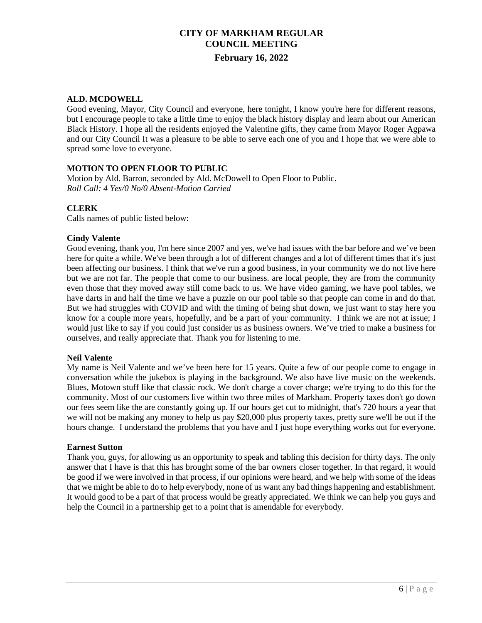### **ALD. MCDOWELL**

Good evening, Mayor, City Council and everyone, here tonight, I know you're here for different reasons, but I encourage people to take a little time to enjoy the black history display and learn about our American Black History. I hope all the residents enjoyed the Valentine gifts, they came from Mayor Roger Agpawa and our City Council It was a pleasure to be able to serve each one of you and I hope that we were able to spread some love to everyone.

### **MOTION TO OPEN FLOOR TO PUBLIC**

Motion by Ald. Barron, seconded by Ald. McDowell to Open Floor to Public. *Roll Call: 4 Yes/0 No/0 Absent-Motion Carried*

### **CLERK**

Calls names of public listed below:

### **Cindy Valente**

Good evening, thank you, I'm here since 2007 and yes, we've had issues with the bar before and we've been here for quite a while. We've been through a lot of different changes and a lot of different times that it's just been affecting our business. I think that we've run a good business, in your community we do not live here but we are not far. The people that come to our business. are local people, they are from the community even those that they moved away still come back to us. We have video gaming, we have pool tables, we have darts in and half the time we have a puzzle on our pool table so that people can come in and do that. But we had struggles with COVID and with the timing of being shut down, we just want to stay here you know for a couple more years, hopefully, and be a part of your community. I think we are not at issue; I would just like to say if you could just consider us as business owners. We've tried to make a business for ourselves, and really appreciate that. Thank you for listening to me.

### **Neil Valente**

My name is Neil Valente and we've been here for 15 years. Quite a few of our people come to engage in conversation while the jukebox is playing in the background. We also have live music on the weekends. Blues, Motown stuff like that classic rock. We don't charge a cover charge; we're trying to do this for the community. Most of our customers live within two three miles of Markham. Property taxes don't go down our fees seem like the are constantly going up. If our hours get cut to midnight, that's 720 hours a year that we will not be making any money to help us pay \$20,000 plus property taxes, pretty sure we'll be out if the hours change. I understand the problems that you have and I just hope everything works out for everyone.

#### **Earnest Sutton**

Thank you, guys, for allowing us an opportunity to speak and tabling this decision for thirty days. The only answer that I have is that this has brought some of the bar owners closer together. In that regard, it would be good if we were involved in that process, if our opinions were heard, and we help with some of the ideas that we might be able to do to help everybody, none of us want any bad things happening and establishment. It would good to be a part of that process would be greatly appreciated. We think we can help you guys and help the Council in a partnership get to a point that is amendable for everybody.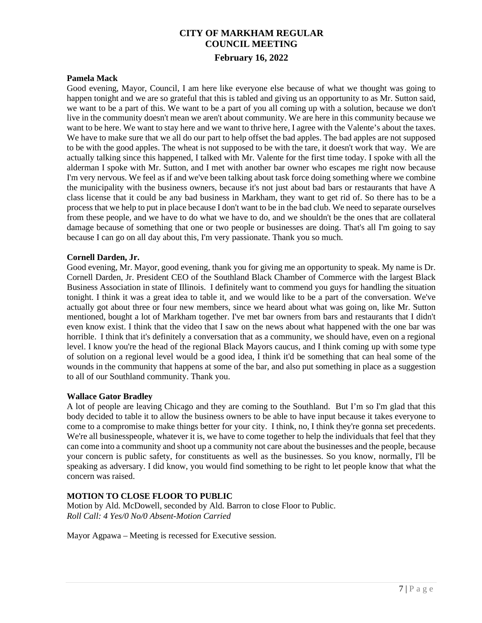### **Pamela Mack**

Good evening, Mayor, Council, I am here like everyone else because of what we thought was going to happen tonight and we are so grateful that this is tabled and giving us an opportunity to as Mr. Sutton said, we want to be a part of this. We want to be a part of you all coming up with a solution, because we don't live in the community doesn't mean we aren't about community. We are here in this community because we want to be here. We want to stay here and we want to thrive here, I agree with the Valente's about the taxes. We have to make sure that we all do our part to help offset the bad apples. The bad apples are not supposed to be with the good apples. The wheat is not supposed to be with the tare, it doesn't work that way. We are actually talking since this happened, I talked with Mr. Valente for the first time today. I spoke with all the alderman I spoke with Mr. Sutton, and I met with another bar owner who escapes me right now because I'm very nervous. We feel as if and we've been talking about task force doing something where we combine the municipality with the business owners, because it's not just about bad bars or restaurants that have A class license that it could be any bad business in Markham, they want to get rid of. So there has to be a process that we help to put in place because I don't want to be in the bad club. We need to separate ourselves from these people, and we have to do what we have to do, and we shouldn't be the ones that are collateral damage because of something that one or two people or businesses are doing. That's all I'm going to say because I can go on all day about this, I'm very passionate. Thank you so much.

#### **Cornell Darden, Jr.**

Good evening, Mr. Mayor, good evening, thank you for giving me an opportunity to speak. My name is Dr. Cornell Darden, Jr. President CEO of the Southland Black Chamber of Commerce with the largest Black Business Association in state of Illinois. I definitely want to commend you guys for handling the situation tonight. I think it was a great idea to table it, and we would like to be a part of the conversation. We've actually got about three or four new members, since we heard about what was going on, like Mr. Sutton mentioned, bought a lot of Markham together. I've met bar owners from bars and restaurants that I didn't even know exist. I think that the video that I saw on the news about what happened with the one bar was horrible. I think that it's definitely a conversation that as a community, we should have, even on a regional level. I know you're the head of the regional Black Mayors caucus, and I think coming up with some type of solution on a regional level would be a good idea, I think it'd be something that can heal some of the wounds in the community that happens at some of the bar, and also put something in place as a suggestion to all of our Southland community. Thank you.

#### **Wallace Gator Bradley**

A lot of people are leaving Chicago and they are coming to the Southland. But I'm so I'm glad that this body decided to table it to allow the business owners to be able to have input because it takes everyone to come to a compromise to make things better for your city. I think, no, I think they're gonna set precedents. We're all businesspeople, whatever it is, we have to come together to help the individuals that feel that they can come into a community and shoot up a community not care about the businesses and the people, because your concern is public safety, for constituents as well as the businesses. So you know, normally, I'll be speaking as adversary. I did know, you would find something to be right to let people know that what the concern was raised.

#### **MOTION TO CLOSE FLOOR TO PUBLIC**

Motion by Ald. McDowell, seconded by Ald. Barron to close Floor to Public. *Roll Call: 4 Yes/0 No/0 Absent-Motion Carried*

Mayor Agpawa – Meeting is recessed for Executive session.